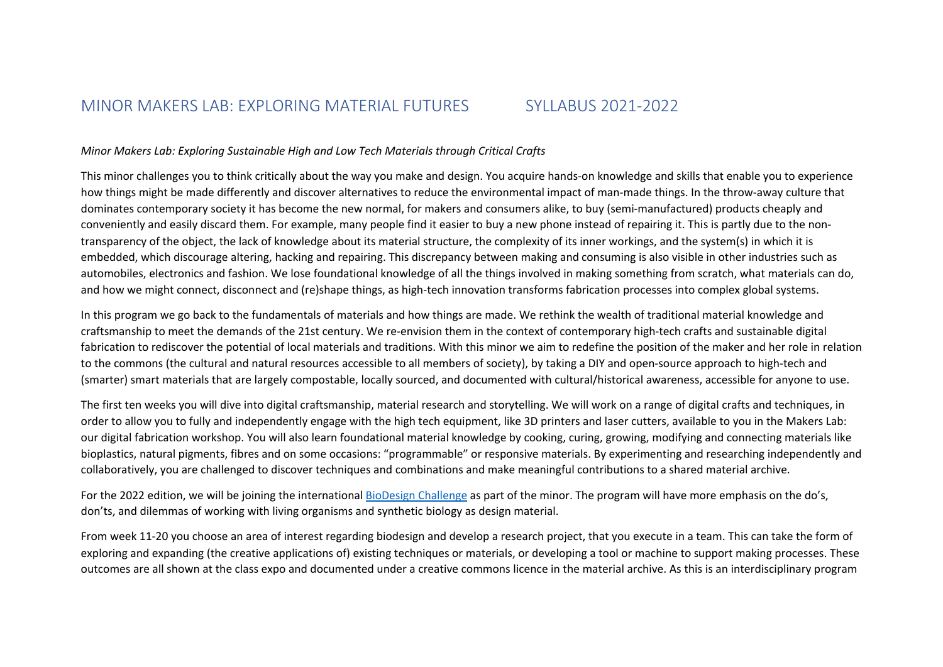# MINOR MAKERS LAB: EXPLORING MATERIAL FUTURES SYLLABUS 2021-2022

#### *Minor Makers Lab: Exploring Sustainable High and Low Tech Materials through Critical Crafts*

This minor challenges you to think critically about the way you make and design. You acquire hands-on knowledge and skills that enable you to experience how things might be made differently and discover alternatives to reduce the environmental impact of man-made things. In the throw-away culture that dominates contemporary society it has become the new normal, for makers and consumers alike, to buy (semi-manufactured) products cheaply and conveniently and easily discard them. For example, many people find it easier to buy a new phone instead of repairing it. This is partly due to the nontransparency of the object, the lack of knowledge about its material structure, the complexity of its inner workings, and the system(s) in which it is embedded, which discourage altering, hacking and repairing. This discrepancy between making and consuming is also visible in other industries such as automobiles, electronics and fashion. We lose foundational knowledge of all the things involved in making something from scratch, what materials can do, and how we might connect, disconnect and (re)shape things, as high-tech innovation transforms fabrication processes into complex global systems.

In this program we go back to the fundamentals of materials and how things are made. We rethink the wealth of traditional material knowledge and craftsmanship to meet the demands of the 21st century. We re-envision them in the context of contemporary high-tech crafts and sustainable digital fabrication to rediscover the potential of local materials and traditions. With this minor we aim to redefine the position of the maker and her role in relation to the commons (the cultural and natural resources accessible to all members of society), by taking a DIY and open-source approach to high-tech and (smarter) smart materials that are largely compostable, locally sourced, and documented with cultural/historical awareness, accessible for anyone to use.

The first ten weeks you will dive into digital craftsmanship, material research and storytelling. We will work on a range of digital crafts and techniques, in order to allow you to fully and independently engage with the high tech equipment, like 3D printers and laser cutters, available to you in the Makers Lab: our digital fabrication workshop. You will also learn foundational material knowledge by cooking, curing, growing, modifying and connecting materials like bioplastics, natural pigments, fibres and on some occasions: "programmable" or responsive materials. By experimenting and researching independently and collaboratively, you are challenged to discover techniques and combinations and make meaningful contributions to a shared material archive.

For the 2022 edition, we will be joining the international BioDesign Challenge as part of the minor. The program will have more emphasis on the do's, don'ts, and dilemmas of working with living organisms and synthetic biology as design material.

From week 11-20 you choose an area of interest regarding biodesign and develop a research project, that you execute in a team. This can take the form of exploring and expanding (the creative applications of) existing techniques or materials, or developing a tool or machine to support making processes. These outcomes are all shown at the class expo and documented under a creative commons licence in the material archive. As this is an interdisciplinary program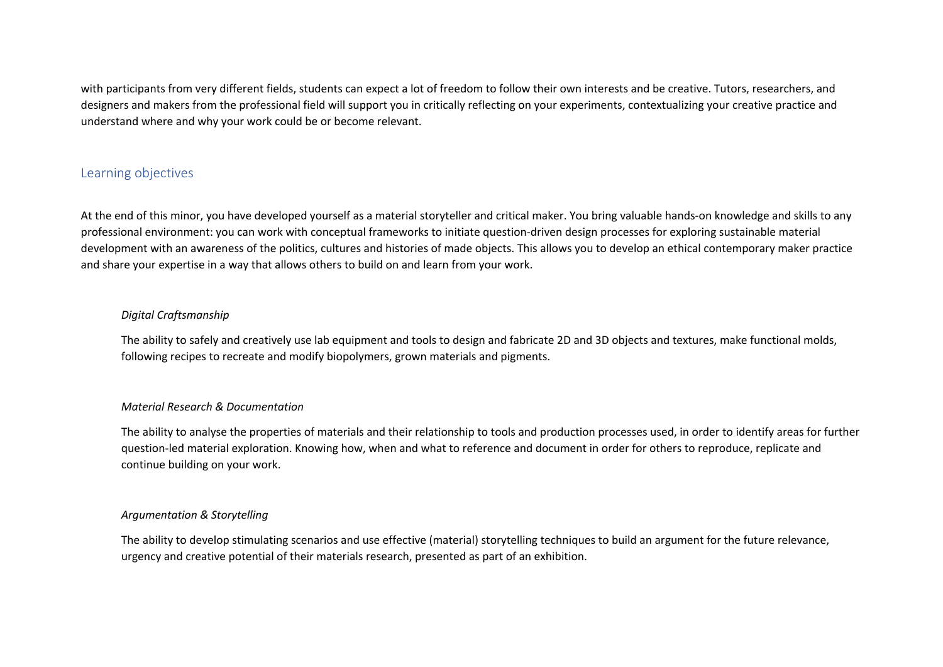with participants from very different fields, students can expect a lot of freedom to follow their own interests and be creative. Tutors, researchers, and designers and makers from the professional field will support you in critically reflecting on your experiments, contextualizing your creative practice and understand where and why your work could be or become relevant.

# Learning objectives

At the end of this minor, you have developed yourself as a material storyteller and critical maker. You bring valuable hands-on knowledge and skills to any professional environment: you can work with conceptual frameworks to initiate question-driven design processes for exploring sustainable material development with an awareness of the politics, cultures and histories of made objects. This allows you to develop an ethical contemporary maker practice and share your expertise in a way that allows others to build on and learn from your work.

### *Digital Craftsmanship*

The ability to safely and creatively use lab equipment and tools to design and fabricate 2D and 3D objects and textures, make functional molds, following recipes to recreate and modify biopolymers, grown materials and pigments.

### *Material Research & Documentation*

The ability to analyse the properties of materials and their relationship to tools and production processes used, in order to identify areas for further question-led material exploration. Knowing how, when and what to reference and document in order for others to reproduce, replicate and continue building on your work.

#### *Argumentation & Storytelling*

The ability to develop stimulating scenarios and use effective (material) storytelling techniques to build an argument for the future relevance, urgency and creative potential of their materials research, presented as part of an exhibition.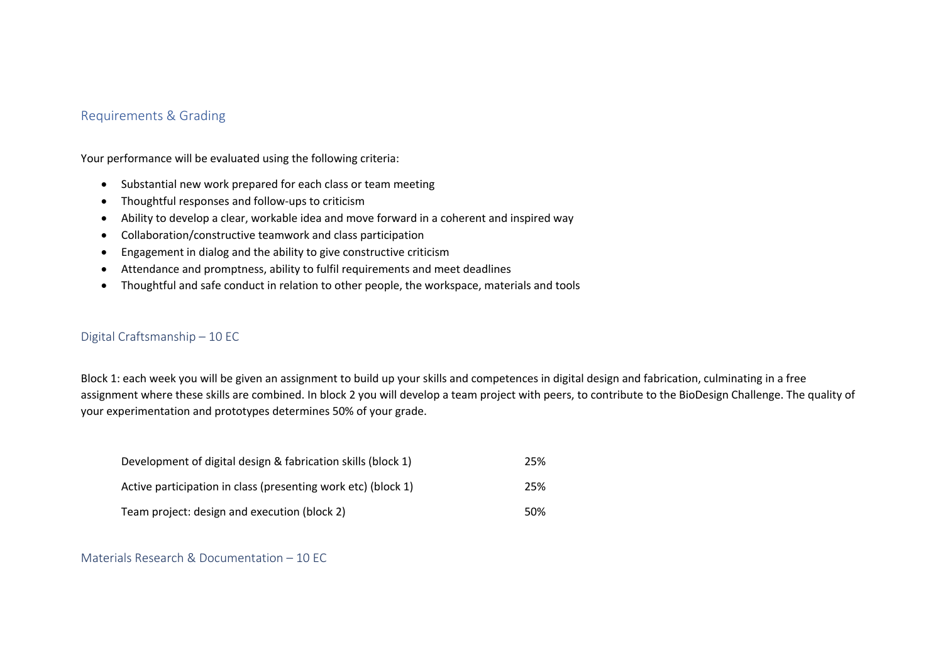# Requirements & Grading

Your performance will be evaluated using the following criteria:

- Substantial new work prepared for each class or team meeting
- Thoughtful responses and follow-ups to criticism
- Ability to develop a clear, workable idea and move forward in a coherent and inspired way
- Collaboration/constructive teamwork and class participation
- Engagement in dialog and the ability to give constructive criticism
- Attendance and promptness, ability to fulfil requirements and meet deadlines
- Thoughtful and safe conduct in relation to other people, the workspace, materials and tools

# Digital Craftsmanship – 10 EC

Block 1: each week you will be given an assignment to build up your skills and competences in digital design and fabrication, culminating in a free assignment where these skills are combined. In block 2 you will develop a team project with peers, to contribute to the BioDesign Challenge. The quality of your experimentation and prototypes determines 50% of your grade.

| Development of digital design & fabrication skills (block 1)  | 25% |
|---------------------------------------------------------------|-----|
| Active participation in class (presenting work etc) (block 1) | 25% |
| Team project: design and execution (block 2)                  | 50% |

#### Materials Research & Documentation – 10 EC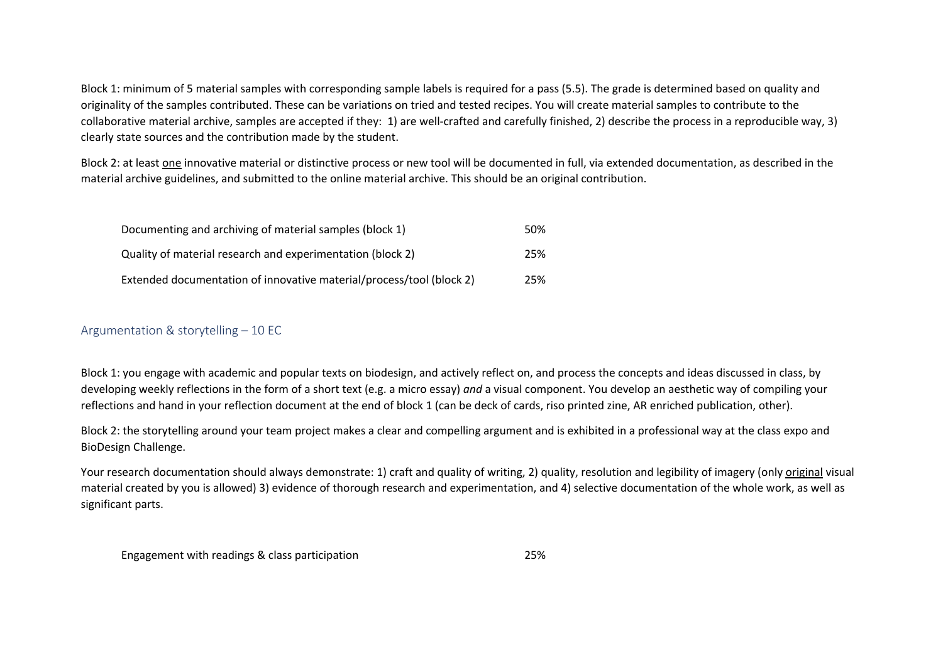Block 1: minimum of 5 material samples with corresponding sample labels is required for a pass (5.5). The grade is determined based on quality and originality of the samples contributed. These can be variations on tried and tested recipes. You will create material samples to contribute to the collaborative material archive, samples are accepted if they: 1) are well-crafted and carefully finished, 2) describe the process in a reproducible way, 3) clearly state sources and the contribution made by the student.

Block 2: at least one innovative material or distinctive process or new tool will be documented in full, via extended documentation, as described in the material archive guidelines, and submitted to the online material archive. This should be an original contribution.

| Documenting and archiving of material samples (block 1)              | 50% |
|----------------------------------------------------------------------|-----|
| Quality of material research and experimentation (block 2)           | 25% |
| Extended documentation of innovative material/process/tool (block 2) | 25% |

# Argumentation & storytelling – 10 EC

Block 1: you engage with academic and popular texts on biodesign, and actively reflect on, and process the concepts and ideas discussed in class, by developing weekly reflections in the form of a short text (e.g. a micro essay) *and* a visual component. You develop an aesthetic way of compiling your reflections and hand in your reflection document at the end of block 1 (can be deck of cards, riso printed zine, AR enriched publication, other).

Block 2: the storytelling around your team project makes a clear and compelling argument and is exhibited in a professional way at the class expo and BioDesign Challenge.

Your research documentation should always demonstrate: 1) craft and quality of writing, 2) quality, resolution and legibility of imagery (only original visual material created by you is allowed) 3) evidence of thorough research and experimentation, and 4) selective documentation of the whole work, as well as significant parts.

Engagement with readings & class participation 25%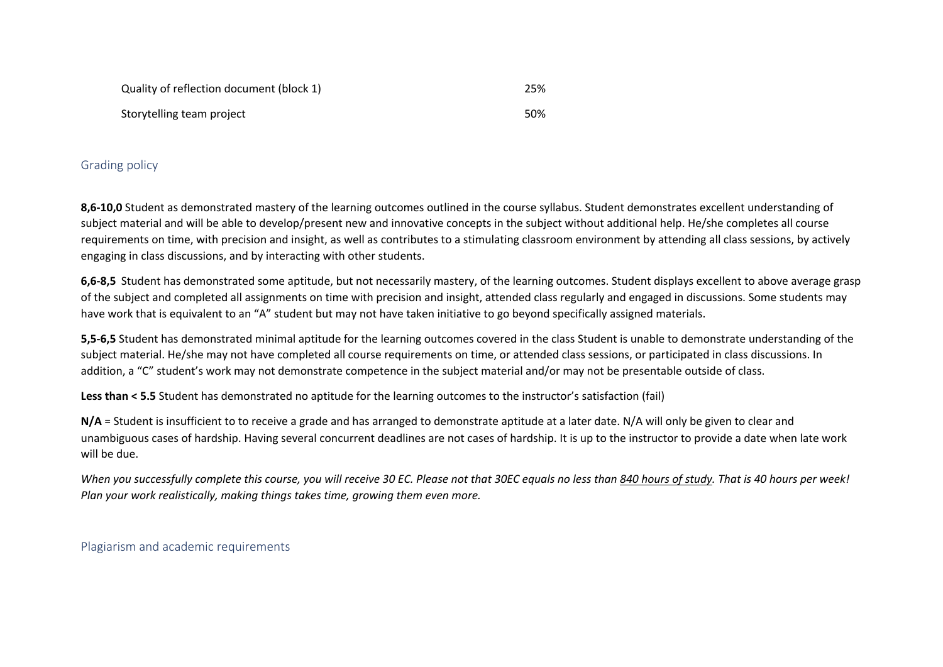| Quality of reflection document (block 1) | 25% |
|------------------------------------------|-----|
| Storytelling team project                | 50% |

### Grading policy

**8,6-10,0** Student as demonstrated mastery of the learning outcomes outlined in the course syllabus. Student demonstrates excellent understanding of subject material and will be able to develop/present new and innovative concepts in the subject without additional help. He/she completes all course requirements on time, with precision and insight, as well as contributes to a stimulating classroom environment by attending all class sessions, by actively engaging in class discussions, and by interacting with other students.

**6,6-8,5** Student has demonstrated some aptitude, but not necessarily mastery, of the learning outcomes. Student displays excellent to above average grasp of the subject and completed all assignments on time with precision and insight, attended class regularly and engaged in discussions. Some students may have work that is equivalent to an "A" student but may not have taken initiative to go beyond specifically assigned materials.

**5,5-6,5** Student has demonstrated minimal aptitude for the learning outcomes covered in the class Student is unable to demonstrate understanding of the subject material. He/she may not have completed all course requirements on time, or attended class sessions, or participated in class discussions. In addition, a "C" student's work may not demonstrate competence in the subject material and/or may not be presentable outside of class.

**Less than < 5.5** Student has demonstrated no aptitude for the learning outcomes to the instructor's satisfaction (fail)

**N/A** = Student is insufficient to to receive a grade and has arranged to demonstrate aptitude at a later date. N/A will only be given to clear and unambiguous cases of hardship. Having several concurrent deadlines are not cases of hardship. It is up to the instructor to provide a date when late work will be due.

*When you successfully complete this course, you will receive 30 EC. Please not that 30EC equals no less than 840 hours of study. That is 40 hours per week! Plan your work realistically, making things takes time, growing them even more.* 

Plagiarism and academic requirements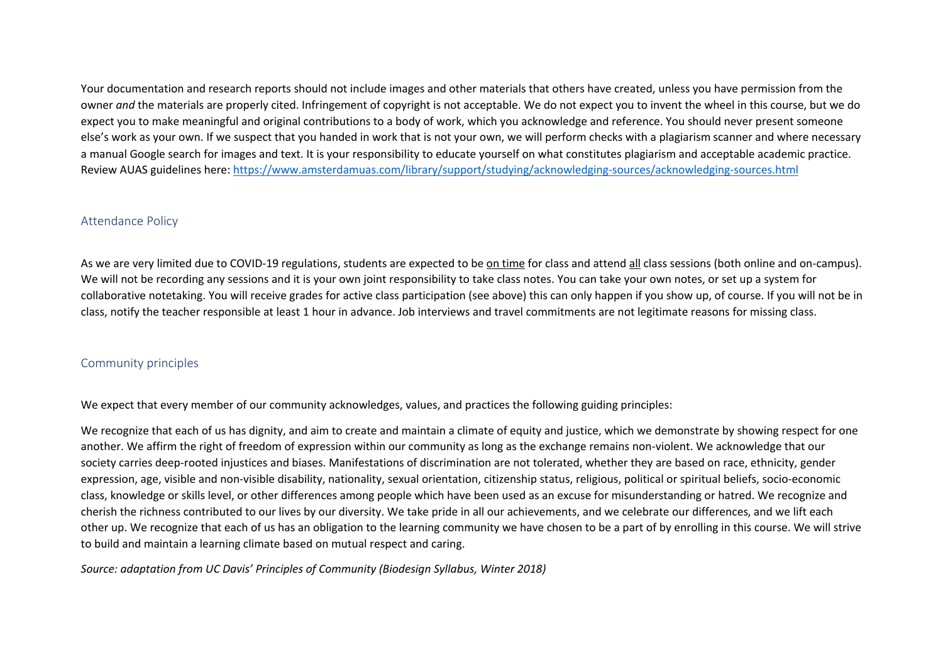Your documentation and research reports should not include images and other materials that others have created, unless you have permission from the owner *and* the materials are properly cited. Infringement of copyright is not acceptable. We do not expect you to invent the wheel in this course, but we do expect you to make meaningful and original contributions to a body of work, which you acknowledge and reference. You should never present someone else's work as your own. If we suspect that you handed in work that is not your own, we will perform checks with a plagiarism scanner and where necessary a manual Google search for images and text. It is your responsibility to educate yourself on what constitutes plagiarism and acceptable academic practice. Review AUAS guidelines here: https://www.amsterdamuas.com/library/support/studying/acknowledging-sources/acknowledging-sources.html

### Attendance Policy

As we are very limited due to COVID-19 regulations, students are expected to be on time for class and attend all class sessions (both online and on-campus). We will not be recording any sessions and it is your own joint responsibility to take class notes. You can take your own notes, or set up a system for collaborative notetaking. You will receive grades for active class participation (see above) this can only happen if you show up, of course. If you will not be in class, notify the teacher responsible at least 1 hour in advance. Job interviews and travel commitments are not legitimate reasons for missing class.

### Community principles

We expect that every member of our community acknowledges, values, and practices the following guiding principles:

We recognize that each of us has dignity, and aim to create and maintain a climate of equity and justice, which we demonstrate by showing respect for one another. We affirm the right of freedom of expression within our community as long as the exchange remains non-violent. We acknowledge that our society carries deep-rooted injustices and biases. Manifestations of discrimination are not tolerated, whether they are based on race, ethnicity, gender expression, age, visible and non-visible disability, nationality, sexual orientation, citizenship status, religious, political or spiritual beliefs, socio-economic class, knowledge or skills level, or other differences among people which have been used as an excuse for misunderstanding or hatred. We recognize and cherish the richness contributed to our lives by our diversity. We take pride in all our achievements, and we celebrate our differences, and we lift each other up. We recognize that each of us has an obligation to the learning community we have chosen to be a part of by enrolling in this course. We will strive to build and maintain a learning climate based on mutual respect and caring.

*Source: adaptation from UC Davis' Principles of Community (Biodesign Syllabus, Winter 2018)*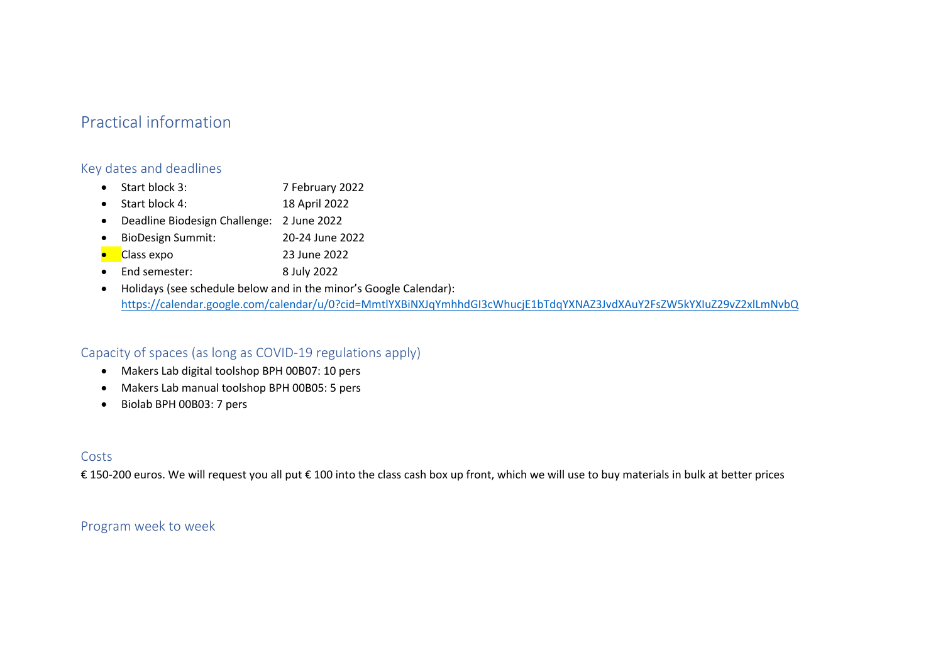# Practical information

# Key dates and deadlines

- Start block 3: 7 February 2022
- Start block 4: 18 April 2022
- Deadline Biodesign Challenge: 2 June 2022
- BioDesign Summit: 20-24 June 2022
- Class expo 23 June 2022
- End semester: 8 July 2022
- Holidays (see schedule below and in the minor's Google Calendar): https://calendar.google.com/calendar/u/0?cid=MmtlYXBiNXJqYmhhdGI3cWhucjE1bTdqYXNAZ3JvdXAuY2FsZW5kYXIuZ29vZ2xlLmNvbQ

# Capacity of spaces (as long as COVID-19 regulations apply)

- Makers Lab digital toolshop BPH 00B07: 10 pers
- Makers Lab manual toolshop BPH 00B05: 5 pers
- Biolab BPH 00B03: 7 pers

# Costs

€ 150-200 euros. We will request you all put € 100 into the class cash box up front, which we will use to buy materials in bulk at better prices

# Program week to week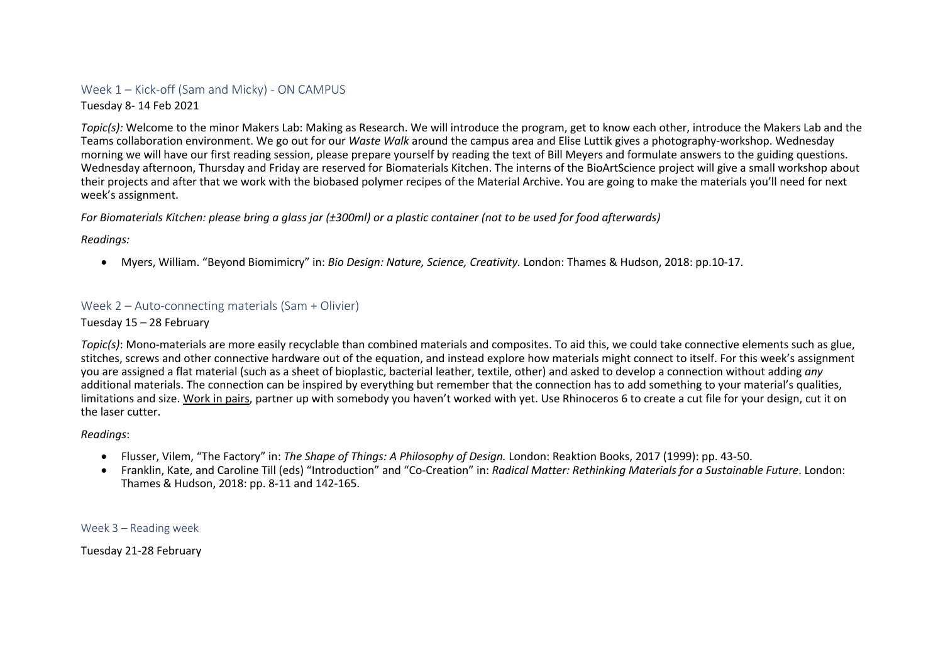# Week 1 – Kick-off (Sam and Micky) - ON CAMPUS

Tuesday 8- 14 Feb 2021

*Topic(s):* Welcome to the minor Makers Lab: Making as Research. We will introduce the program, get to know each other, introduce the Makers Lab and the Teams collaboration environment. We go out for our *Waste Walk* around the campus area and Elise Luttik gives a photography-workshop. Wednesday morning we will have our first reading session, please prepare yourself by reading the text of Bill Meyers and formulate answers to the guiding questions. Wednesday afternoon, Thursday and Friday are reserved for Biomaterials Kitchen. The interns of the BioArtScience project will give a small workshop about their projects and after that we work with the biobased polymer recipes of the Material Archive. You are going to make the materials you'll need for next week's assignment.

### *For Biomaterials Kitchen: please bring a glass jar (±300ml) or a plastic container (not to be used for food afterwards)*

*Readings:*

• Myers, William. "Beyond Biomimicry" in: *Bio Design: Nature, Science, Creativity.* London: Thames & Hudson, 2018: pp.10-17.

# Week 2 – Auto-connecting materials (Sam + Olivier)

#### Tuesday 15 – 28 February

*Topic(s)*: Mono-materials are more easily recyclable than combined materials and composites. To aid this, we could take connective elements such as glue, stitches, screws and other connective hardware out of the equation, and instead explore how materials might connect to itself. For this week's assignment you are assigned a flat material (such as a sheet of bioplastic, bacterial leather, textile, other) and asked to develop a connection without adding *any*  additional materials. The connection can be inspired by everything but remember that the connection has to add something to your material's qualities, limitations and size. Work in pairs, partner up with somebody you haven't worked with yet. Use Rhinoceros 6 to create a cut file for your design, cut it on the laser cutter.

#### *Readings*:

- Flusser, Vilem, "The Factory" in: *The Shape of Things: A Philosophy of Design.* London: Reaktion Books, 2017 (1999): pp. 43-50.
- Franklin, Kate, and Caroline Till (eds) "Introduction" and "Co-Creation" in: *Radical Matter: Rethinking Materials for a Sustainable Future*. London: Thames & Hudson, 2018: pp. 8-11 and 142-165.

Week 3 – Reading week

Tuesday 21-28 February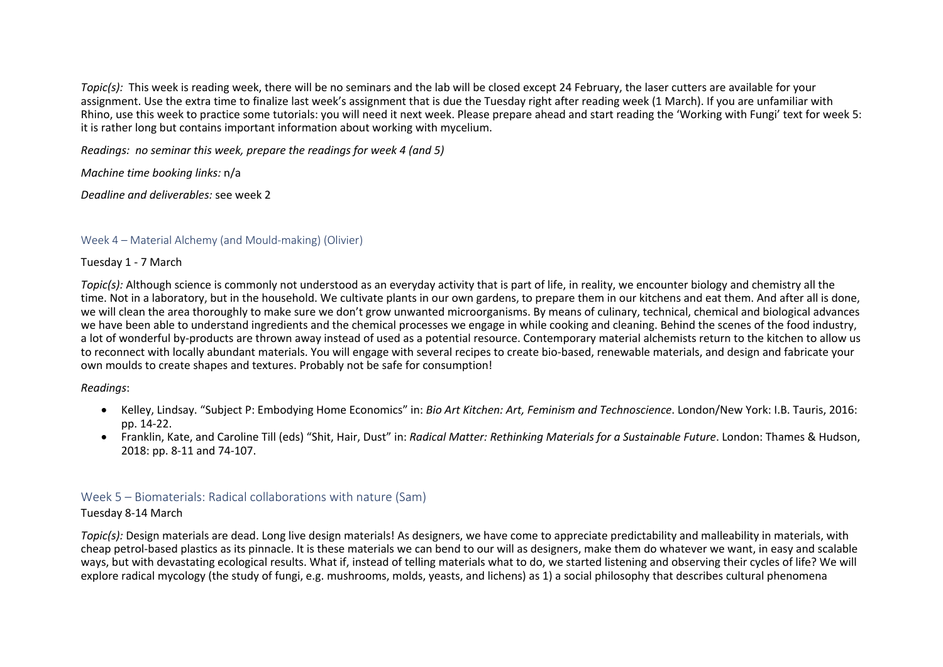*Topic(s):* This week is reading week, there will be no seminars and the lab will be closed except 24 February, the laser cutters are available for your assignment. Use the extra time to finalize last week's assignment that is due the Tuesday right after reading week (1 March). If you are unfamiliar with Rhino, use this week to practice some tutorials: you will need it next week. Please prepare ahead and start reading the 'Working with Fungi' text for week 5: it is rather long but contains important information about working with mycelium.

*Readings: no seminar this week, prepare the readings for week 4 (and 5)*

*Machine time booking links:* n/a

*Deadline and deliverables:* see week 2

# Week 4 – Material Alchemy (and Mould-making) (Olivier)

Tuesday 1 - 7 March

*Topic(s):* Although science is commonly not understood as an everyday activity that is part of life, in reality, we encounter biology and chemistry all the time. Not in a laboratory, but in the household. We cultivate plants in our own gardens, to prepare them in our kitchens and eat them. And after all is done, we will clean the area thoroughly to make sure we don't grow unwanted microorganisms. By means of culinary, technical, chemical and biological advances we have been able to understand ingredients and the chemical processes we engage in while cooking and cleaning. Behind the scenes of the food industry, a lot of wonderful by-products are thrown away instead of used as a potential resource. Contemporary material alchemists return to the kitchen to allow us to reconnect with locally abundant materials. You will engage with several recipes to create bio-based, renewable materials, and design and fabricate your own moulds to create shapes and textures. Probably not be safe for consumption!

*Readings*:

- Kelley, Lindsay. "Subject P: Embodying Home Economics" in: *Bio Art Kitchen: Art, Feminism and Technoscience*. London/New York: I.B. Tauris, 2016: pp. 14-22.
- Franklin, Kate, and Caroline Till (eds) "Shit, Hair, Dust" in: *Radical Matter: Rethinking Materials for a Sustainable Future*. London: Thames & Hudson, 2018: pp. 8-11 and 74-107.

# Week 5 – Biomaterials: Radical collaborations with nature (Sam)

# Tuesday 8-14 March

*Topic(s):* Design materials are dead. Long live design materials! As designers, we have come to appreciate predictability and malleability in materials, with cheap petrol-based plastics as its pinnacle. It is these materials we can bend to our will as designers, make them do whatever we want, in easy and scalable ways, but with devastating ecological results. What if, instead of telling materials what to do, we started listening and observing their cycles of life? We will explore radical mycology (the study of fungi, e.g. mushrooms, molds, yeasts, and lichens) as 1) a social philosophy that describes cultural phenomena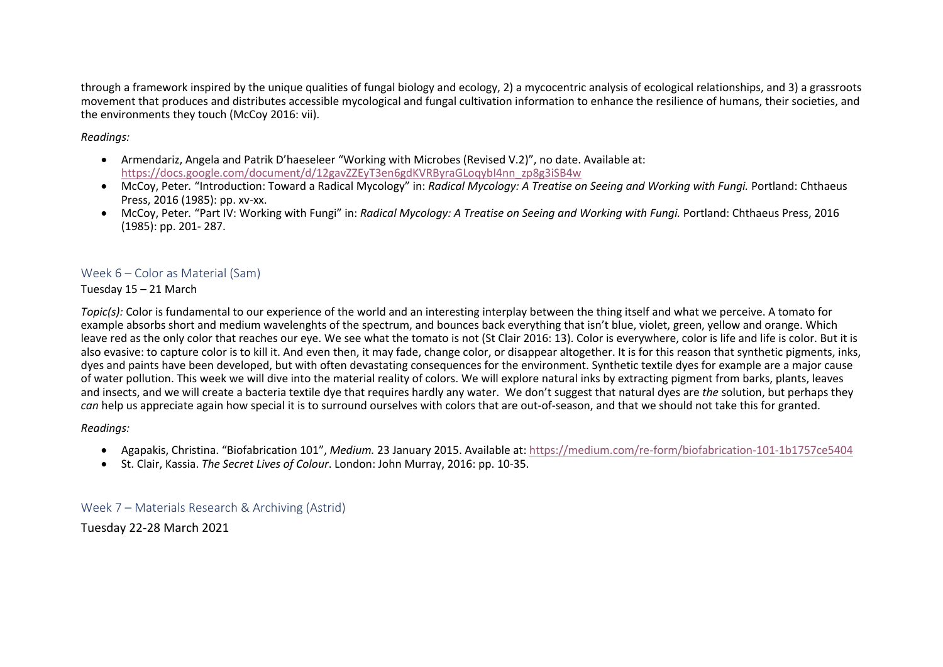through a framework inspired by the unique qualities of fungal biology and ecology, 2) a mycocentric analysis of ecological relationships, and 3) a grassroots movement that produces and distributes accessible mycological and fungal cultivation information to enhance the resilience of humans, their societies, and the environments they touch (McCoy 2016: vii).

*Readings:*

- Armendariz, Angela and Patrik D'haeseleer "Working with Microbes (Revised V.2)", no date. Available at: https://docs.google.com/document/d/12gavZZEyT3en6gdKVRByraGLoqybI4nn\_zp8g3iSB4w
- McCoy, Peter*.* "Introduction: Toward a Radical Mycology" in: *Radical Mycology: A Treatise on Seeing and Working with Fungi.* Portland: Chthaeus Press, 2016 (1985): pp. xv-xx.
- McCoy, Peter*.* "Part IV: Working with Fungi" in: *Radical Mycology: A Treatise on Seeing and Working with Fungi.* Portland: Chthaeus Press, 2016 (1985): pp. 201- 287.

# Week 6 – Color as Material (Sam)

Tuesday 15 – 21 March

*Topic(s):* Color is fundamental to our experience of the world and an interesting interplay between the thing itself and what we perceive. A tomato for example absorbs short and medium wavelenghts of the spectrum, and bounces back everything that isn't blue, violet, green, yellow and orange. Which leave red as the only color that reaches our eye. We see what the tomato is not (St Clair 2016: 13). Color is everywhere, color is life and life is color. But it is also evasive: to capture color is to kill it. And even then, it may fade, change color, or disappear altogether. It is for this reason that synthetic pigments, inks, dyes and paints have been developed, but with often devastating consequences for the environment. Synthetic textile dyes for example are a major cause of water pollution. This week we will dive into the material reality of colors. We will explore natural inks by extracting pigment from barks, plants, leaves and insects, and we will create a bacteria textile dye that requires hardly any water. We don't suggest that natural dyes are *the* solution, but perhaps they *can* help us appreciate again how special it is to surround ourselves with colors that are out-of-season, and that we should not take this for granted.

*Readings:*

- Agapakis, Christina. "Biofabrication 101", *Medium.* 23 January 2015. Available at: https://medium.com/re-form/biofabrication-101-1b1757ce5404
- St. Clair, Kassia. *The Secret Lives of Colour*. London: John Murray, 2016: pp. 10-35.

Week 7 – Materials Research & Archiving (Astrid)

Tuesday 22-28 March 2021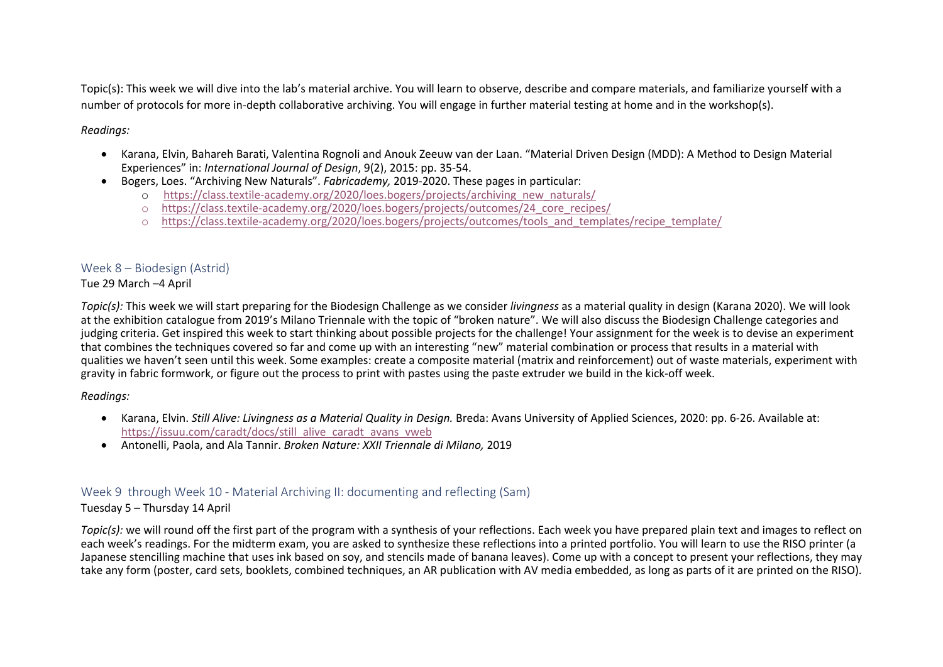Topic(s): This week we will dive into the lab's material archive. You will learn to observe, describe and compare materials, and familiarize yourself with a number of protocols for more in-depth collaborative archiving. You will engage in further material testing at home and in the workshop(s).

### *Readings:*

- Karana, Elvin, Bahareh Barati, Valentina Rognoli and Anouk Zeeuw van der Laan. "Material Driven Design (MDD): A Method to Design Material Experiences" in: *International Journal of Design*, 9(2), 2015: pp. 35-54.
- Bogers, Loes. "Archiving New Naturals". *Fabricademy,* 2019-2020. These pages in particular:
	- o https://class.textile-academy.org/2020/loes.bogers/projects/archiving\_new\_naturals/
	- o https://class.textile-academy.org/2020/loes.bogers/projects/outcomes/24\_core\_recipes/
	- o https://class.textile-academy.org/2020/loes.bogers/projects/outcomes/tools\_and\_templates/recipe\_template/

# Week 8 – Biodesign (Astrid)

### Tue 29 March –4 April

*Topic(s):* This week we will start preparing for the Biodesign Challenge as we consider *livingness* as a material quality in design (Karana 2020). We will look at the exhibition catalogue from 2019's Milano Triennale with the topic of "broken nature". We will also discuss the Biodesign Challenge categories and judging criteria. Get inspired this week to start thinking about possible projects for the challenge! Your assignment for the week is to devise an experiment that combines the techniques covered so far and come up with an interesting "new" material combination or process that results in a material with qualities we haven't seen until this week. Some examples: create a composite material (matrix and reinforcement) out of waste materials, experiment with gravity in fabric formwork, or figure out the process to print with pastes using the paste extruder we build in the kick-off week.

# *Readings:*

- Karana, Elvin. *Still Alive: Livingness as a Material Quality in Design.* Breda: Avans University of Applied Sciences, 2020: pp. 6-26. Available at: https://issuu.com/caradt/docs/still\_alive\_caradt\_avans\_vweb
- Antonelli, Paola, and Ala Tannir. *Broken Nature: XXII Triennale di Milano,* 2019

# Week 9 through Week 10 - Material Archiving II: documenting and reflecting (Sam)

# Tuesday 5 – Thursday 14 April

*Topic(s):* we will round off the first part of the program with a synthesis of your reflections. Each week you have prepared plain text and images to reflect on each week's readings. For the midterm exam, you are asked to synthesize these reflections into a printed portfolio. You will learn to use the RISO printer (a Japanese stencilling machine that uses ink based on soy, and stencils made of banana leaves). Come up with a concept to present your reflections, they may take any form (poster, card sets, booklets, combined techniques, an AR publication with AV media embedded, as long as parts of it are printed on the RISO).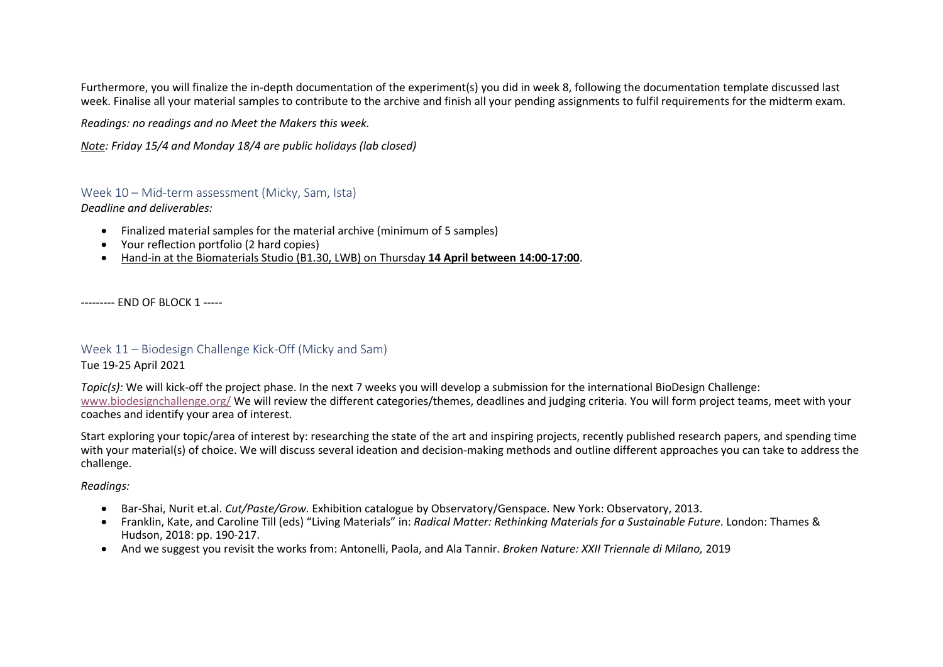Furthermore, you will finalize the in-depth documentation of the experiment(s) you did in week 8, following the documentation template discussed last week. Finalise all your material samples to contribute to the archive and finish all your pending assignments to fulfil requirements for the midterm exam.

*Readings: no readings and no Meet the Makers this week.*

*Note: Friday 15/4 and Monday 18/4 are public holidays (lab closed)*

### Week 10 – Mid-term assessment (Micky, Sam, Ista)

*Deadline and deliverables:*

- Finalized material samples for the material archive (minimum of 5 samples)
- Your reflection portfolio (2 hard copies)
- Hand-in at the Biomaterials Studio (B1.30, LWB) on Thursday **14 April between 14:00-17:00**.

--------- END OF BLOCK 1 -----

### Week 11 – Biodesign Challenge Kick-Off (Micky and Sam)

### Tue 19-25 April 2021

*Topic(s):* We will kick-off the project phase. In the next 7 weeks you will develop a submission for the international BioDesign Challenge: www.biodesignchallenge.org/ We will review the different categories/themes, deadlines and judging criteria. You will form project teams, meet with your coaches and identify your area of interest.

Start exploring your topic/area of interest by: researching the state of the art and inspiring projects, recently published research papers, and spending time with your material(s) of choice. We will discuss several ideation and decision-making methods and outline different approaches you can take to address the challenge.

#### *Readings:*

- Bar-Shai, Nurit et.al. *Cut/Paste/Grow.* Exhibition catalogue by Observatory/Genspace. New York: Observatory, 2013.
- Franklin, Kate, and Caroline Till (eds) "Living Materials" in: *Radical Matter: Rethinking Materials for a Sustainable Future*. London: Thames & Hudson, 2018: pp. 190-217.
- And we suggest you revisit the works from: Antonelli, Paola, and Ala Tannir. *Broken Nature: XXII Triennale di Milano,* 2019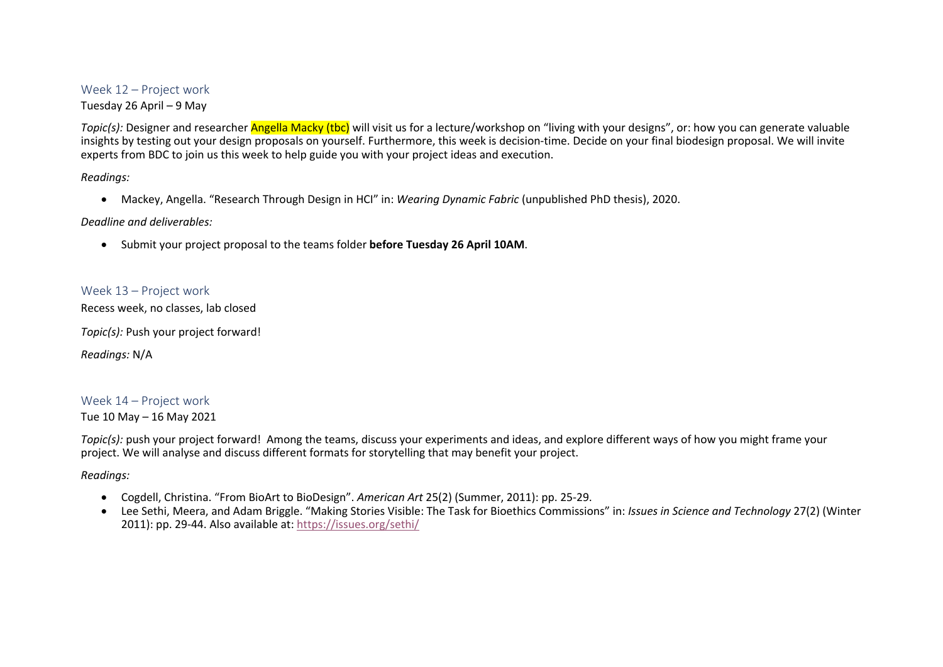### Week 12 – Project work

Tuesday 26 April – 9 May

*Topic(s):* Designer and researcher **Angella Macky (tbc)** will visit us for a lecture/workshop on "living with your designs", or: how you can generate valuable insights by testing out your design proposals on yourself. Furthermore, this week is decision-time. Decide on your final biodesign proposal. We will invite experts from BDC to join us this week to help guide you with your project ideas and execution.

*Readings:*

• Mackey, Angella. "Research Through Design in HCI" in: *Wearing Dynamic Fabric* (unpublished PhD thesis), 2020.

#### *Deadline and deliverables:*

• Submit your project proposal to the teams folder **before Tuesday 26 April 10AM**.

### Week 13 – Project work

Recess week, no classes, lab closed

*Topic(s):* Push your project forward!

*Readings:* N/A

# Week 14 – Project work

Tue 10 May – 16 May 2021

*Topic(s):* push your project forward! Among the teams, discuss your experiments and ideas, and explore different ways of how you might frame your project. We will analyse and discuss different formats for storytelling that may benefit your project.

*Readings:*

- Cogdell, Christina. "From BioArt to BioDesign". *American Art* 25(2) (Summer, 2011): pp. 25-29.
- Lee Sethi, Meera, and Adam Briggle. "Making Stories Visible: The Task for Bioethics Commissions" in: *Issues in Science and Technology* 27(2) (Winter 2011): pp. 29-44. Also available at: https://issues.org/sethi/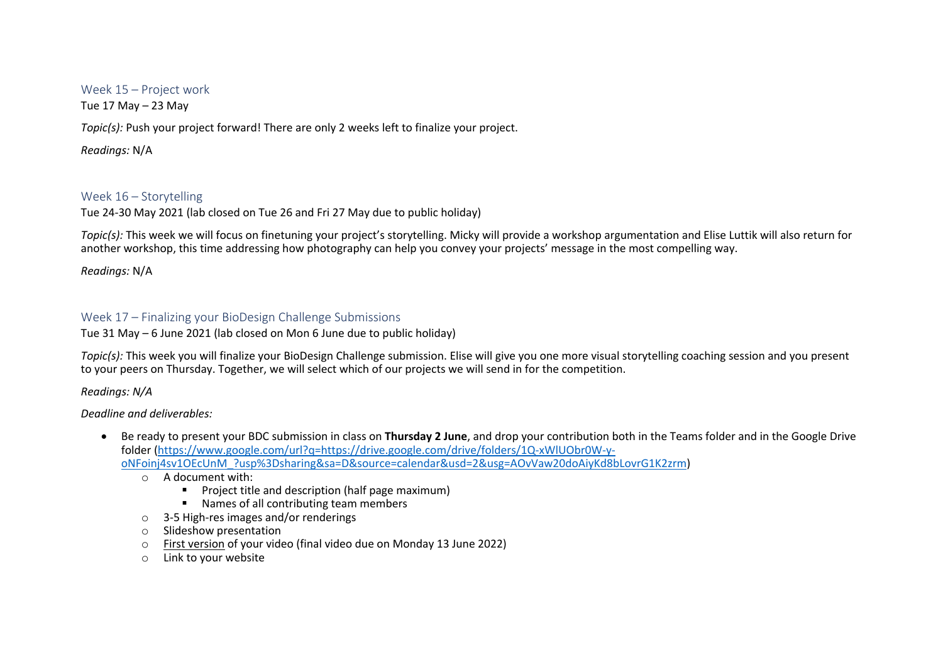### Week 15 – Project work

Tue 17 May – 23 May

*Topic(s):* Push your project forward! There are only 2 weeks left to finalize your project.

*Readings:* N/A

# Week 16 – Storytelling

Tue 24-30 May 2021 (lab closed on Tue 26 and Fri 27 May due to public holiday)

*Topic(s):* This week we will focus on finetuning your project's storytelling. Micky will provide a workshop argumentation and Elise Luttik will also return for another workshop, this time addressing how photography can help you convey your projects' message in the most compelling way.

*Readings:* N/A

# Week 17 – Finalizing your BioDesign Challenge Submissions

Tue 31 May – 6 June 2021 (lab closed on Mon 6 June due to public holiday)

*Topic(s):* This week you will finalize your BioDesign Challenge submission. Elise will give you one more visual storytelling coaching session and you present to your peers on Thursday. Together, we will select which of our projects we will send in for the competition.

*Readings: N/A*

# *Deadline and deliverables:*

- Be ready to present your BDC submission in class on **Thursday 2 June**, and drop your contribution both in the Teams folder and in the Google Drive folder (https://www.google.com/url?q=https://drive.google.com/drive/folders/1Q-xWlUObr0W-yoNFoinj4sv1OEcUnM\_?usp%3Dsharing&sa=D&source=calendar&usd=2&usg=AOvVaw20doAiyKd8bLovrG1K2zrm)
	- o A document with:
		- Project title and description (half page maximum)
		- Names of all contributing team members
	- o 3-5 High-res images and/or renderings
	- o Slideshow presentation
	- o First version of your video (final video due on Monday 13 June 2022)
	- o Link to your website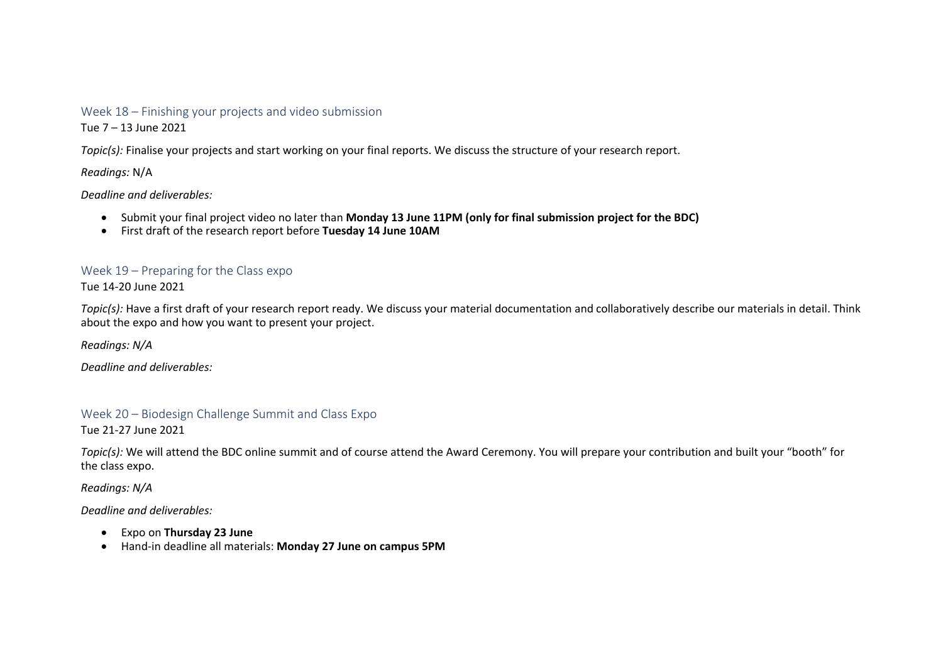### Week 18 – Finishing your projects and video submission

Tue 7 – 13 June 2021

*Topic(s):* Finalise your projects and start working on your final reports. We discuss the structure of your research report.

*Readings:* N/A

*Deadline and deliverables:*

- Submit your final project video no later than **Monday 13 June 11PM (only for final submission project for the BDC)**
- First draft of the research report before **Tuesday 14 June 10AM**

# Week 19 – Preparing for the Class expo

Tue 14-20 June 2021

*Topic(s):* Have a first draft of your research report ready. We discuss your material documentation and collaboratively describe our materials in detail. Think about the expo and how you want to present your project.

*Readings: N/A*

*Deadline and deliverables:*

# Week 20 – Biodesign Challenge Summit and Class Expo

Tue 21-27 June 2021

*Topic(s):* We will attend the BDC online summit and of course attend the Award Ceremony. You will prepare your contribution and built your "booth" for the class expo.

*Readings: N/A*

*Deadline and deliverables:*

- Expo on **Thursday 23 June**
- Hand-in deadline all materials: **Monday 27 June on campus 5PM**